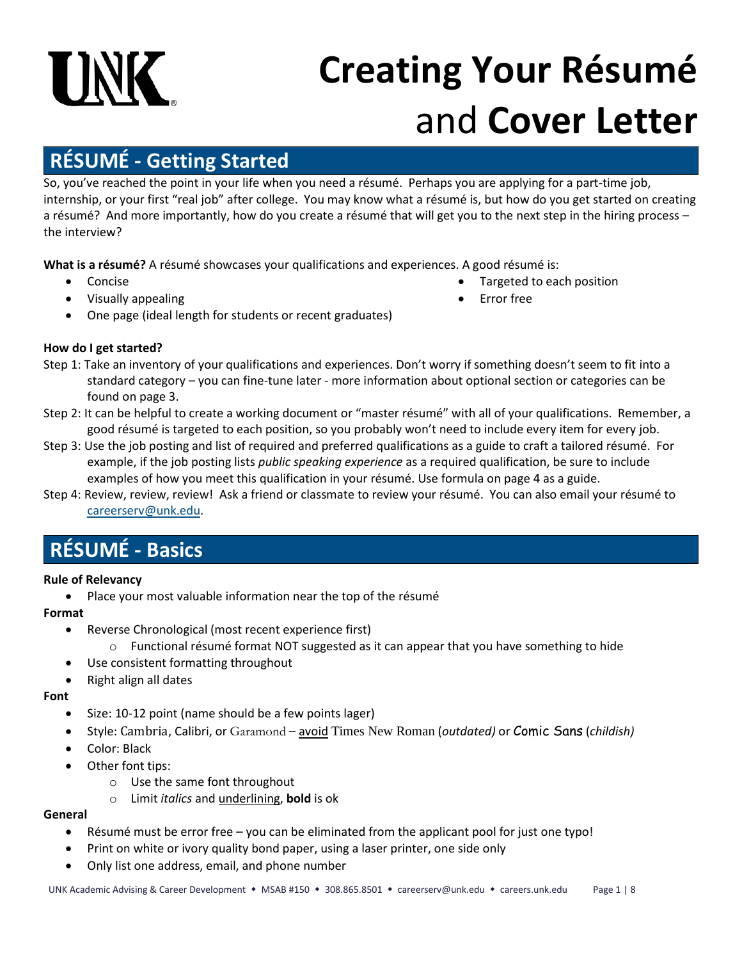# **UNK**

## **Creating Your Résumé** and **Cover Letter**

## **RÉSUMÉ - Getting Started**

So, you've reached the point in your life when you need a résumé. Perhaps you are applying for a part-time job, internship, or your first "real job" after college. You may know what a résumé is, but how do you get started on creating a résumé? And more importantly, how do you create a résumé that will get you to the next step in the hiring process – the interview?

**What is a résumé?** A résumé showcases your qualifications and experiences. A good résumé is:

- Concise
- Visually appealing
- Targeted to each position
- Error free
- One page (ideal length for students or recent graduates)

#### **How do I get started?**

- Step 1: Take an inventory of your qualifications and experiences. Don't worry if something doesn't seem to fit into a standard category – you can fine-tune later - more information about optional section or categories can be found on page 3.
- Step 2: It can be helpful to create a working document or "master résumé" with all of your qualifications. Remember, a good résumé is targeted to each position, so you probably won't need to include every item for every job.
- Step 3: Use the job posting and list of required and preferred qualifications as a guide to craft a tailored résumé. For example, if the job posting lists *public speaking experience* as a required qualification, be sure to include examples of how you meet this qualification in your résumé. Use formula on page 4 as a guide.
- Step 4: Review, review, review! Ask a friend or classmate to review your résumé. You can also email your résumé to [careerserv@unk.edu.](mailto:careerserv@unk.edu)

## **RÉSUMÉ - Basics**

#### **Rule of Relevancy**

• Place your most valuable information near the top of the résumé

#### **Format**

- Reverse Chronological (most recent experience first)
	- $\circ$  Functional résumé format NOT suggested as it can appear that you have something to hide
- Use consistent formatting throughout
- Right align all dates

#### **Font**

- Size: 10-12 point (name should be a few points lager)
- Style: Cambria, Calibri, or Garamond avoid Times New Roman (*outdated)* or Comic Sans (*childish)*
- Color: Black
- Other font tips:
	- o Use the same font throughout
	- o Limit *italics* and underlining, **bold** is ok

#### **General**

- Résumé must be error free you can be eliminated from the applicant pool for just one typo!
- Print on white or ivory quality bond paper, using a laser printer, one side only
- Only list one address, email, and phone number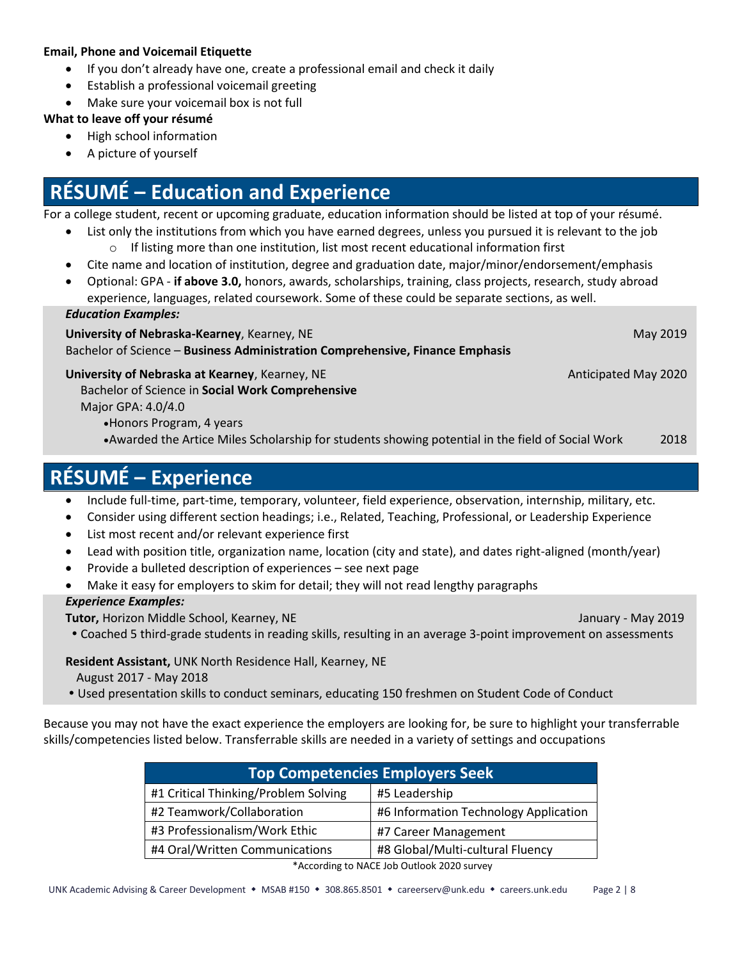#### **Email, Phone and Voicemail Etiquette**

- If you don't already have one, create a professional email and check it daily
- Establish a professional voicemail greeting
- Make sure your voicemail box is not full

#### **What to leave off your résumé**

- High school information
- A picture of yourself

## **RÉSUMÉ – Education and Experience**

For a college student, recent or upcoming graduate, education information should be listed at top of your résumé.

- List only the institutions from which you have earned degrees, unless you pursued it is relevant to the job
	- $\circ$  If listing more than one institution, list most recent educational information first
- Cite name and location of institution, degree and graduation date, major/minor/endorsement/emphasis
- Optional: GPA **if above 3.0,** honors, awards, scholarships, training, class projects, research, study abroad experience, languages, related coursework. Some of these could be separate sections, as well.

#### *Education Examples:*

**University of Nebraska-Kearney**, Kearney, NE May 2019 Bachelor of Science – **Business Administration Comprehensive, Finance Emphasis**

#### **University of Nebraska at Kearney, Kearney, NE** Anticipated May 2020

 Bachelor of Science in **Social Work Comprehensive** Major GPA: 4.0/4.0

•Honors Program, 4 years

•Awarded the Artice Miles Scholarship for students showing potential in the field of Social Work 2018

## **RÉSUMÉ – Experience**

- Include full-time, part-time, temporary, volunteer, field experience, observation, internship, military, etc.
- Consider using different section headings; i.e., Related, Teaching, Professional, or Leadership Experience
- List most recent and/or relevant experience first
- Lead with position title, organization name, location (city and state), and dates right-aligned (month/year)
- Provide a bulleted description of experiences see next page
- Make it easy for employers to skim for detail; they will not read lengthy paragraphs

#### *Experience Examples:*

**Tutor, Horizon Middle School, Kearney, NE** January - May 2019

Coached 5 third-grade students in reading skills, resulting in an average 3-point improvement on assessments

#### **Resident Assistant,** UNK North Residence Hall, Kearney, NE

- August 2017 May 2018
- Used presentation skills to conduct seminars, educating 150 freshmen on Student Code of Conduct

Because you may not have the exact experience the employers are looking for, be sure to highlight your transferrable skills/competencies listed below. Transferrable skills are needed in a variety of settings and occupations

| <b>Top Competencies Employers Seek</b> |                                       |  |  |  |
|----------------------------------------|---------------------------------------|--|--|--|
| #1 Critical Thinking/Problem Solving   | #5 Leadership                         |  |  |  |
| #2 Teamwork/Collaboration              | #6 Information Technology Application |  |  |  |
| #3 Professionalism/Work Ethic          | #7 Career Management                  |  |  |  |
| #4 Oral/Written Communications         | #8 Global/Multi-cultural Fluency      |  |  |  |

\*According to NACE Job Outlook 2020 survey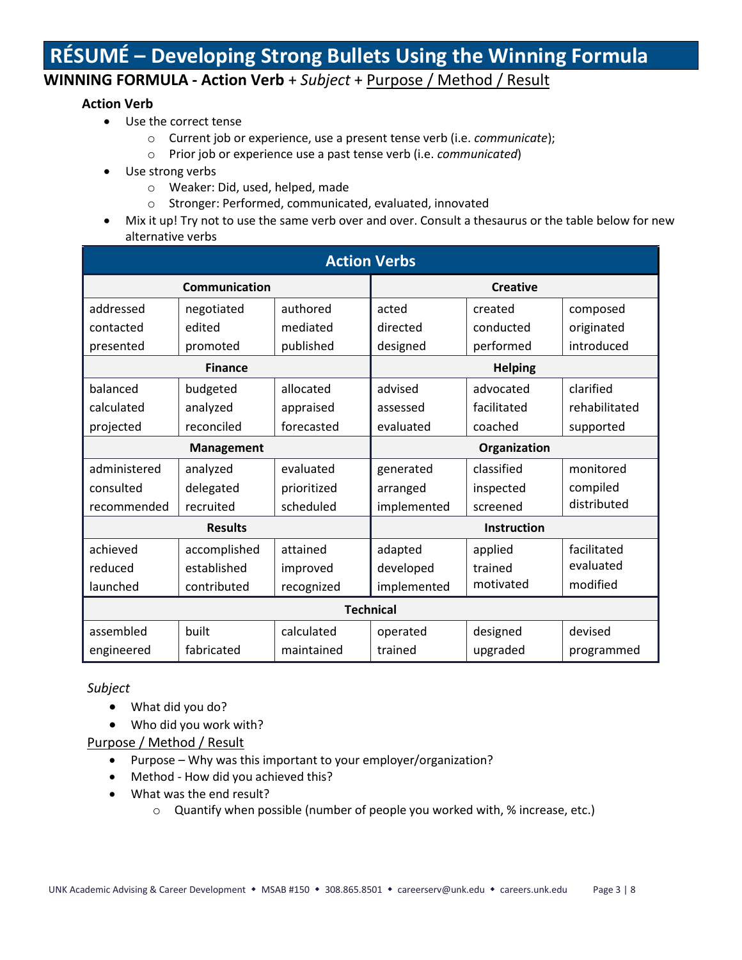## **RÉSUMÉ – Developing Strong Bullets Using the Winning Formula**

#### **WINNING FORMULA - Action Verb** + *Subject* + Purpose / Method / Result

#### **Action Verb**

- Use the correct tense
	- o Current job or experience, use a present tense verb (i.e. *communicate*);
	- o Prior job or experience use a past tense verb (i.e. *communicated*)
- Use strong verbs
	- o Weaker: Did, used, helped, made
	- o Stronger: Performed, communicated, evaluated, innovated
- Mix it up! Try not to use the same verb over and over. Consult a thesaurus or the table below for new alternative verbs

| <b>Action Verbs</b> |              |              |                |             |               |  |  |
|---------------------|--------------|--------------|----------------|-------------|---------------|--|--|
| Communication       |              |              | Creative       |             |               |  |  |
| addressed           | negotiated   | authored     | acted          | created     | composed      |  |  |
| contacted           | edited       | mediated     | directed       | conducted   | originated    |  |  |
| presented           | promoted     | published    | designed       | performed   | introduced    |  |  |
| <b>Finance</b>      |              |              | <b>Helping</b> |             |               |  |  |
| balanced            | budgeted     | allocated    | advised        | advocated   | clarified     |  |  |
| calculated          | analyzed     | appraised    | assessed       | facilitated | rehabilitated |  |  |
| projected           | reconciled   | forecasted   | evaluated      | coached     | supported     |  |  |
| <b>Management</b>   |              | Organization |                |             |               |  |  |
| administered        | analyzed     | evaluated    | generated      | classified  | monitored     |  |  |
| consulted           | delegated    | prioritized  | arranged       | inspected   | compiled      |  |  |
| recommended         | recruited    | scheduled    | implemented    | screened    | distributed   |  |  |
| <b>Results</b>      |              |              | Instruction    |             |               |  |  |
| achieved            | accomplished | attained     | adapted        | applied     | facilitated   |  |  |
| reduced             | established  | improved     | developed      | trained     | evaluated     |  |  |
| launched            | contributed  | recognized   | implemented    | motivated   | modified      |  |  |
| <b>Technical</b>    |              |              |                |             |               |  |  |
| assembled           | <b>built</b> | calculated   | operated       | designed    | devised       |  |  |
| engineered          | fabricated   | maintained   | trained        | upgraded    | programmed    |  |  |

*Subject*

- What did you do?
- Who did you work with?

Purpose / Method / Result

- Purpose Why was this important to your employer/organization?
- Method How did you achieved this?
- What was the end result?
	- o Quantify when possible (number of people you worked with, % increase, etc.)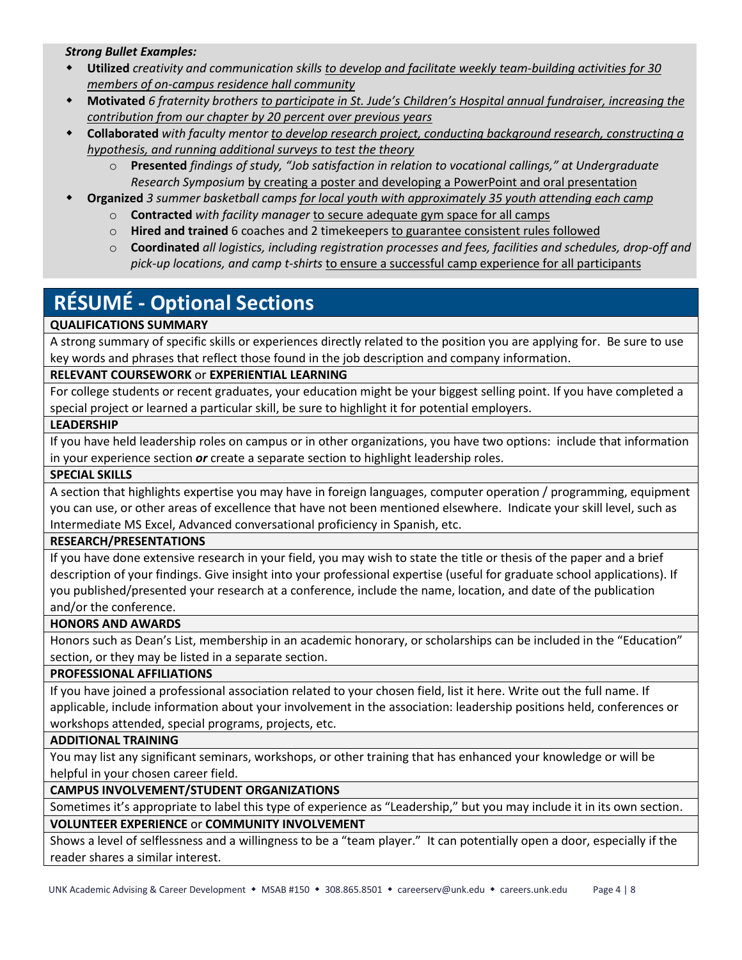#### *Strong Bullet Examples:*

- **Utilized** *creativity and communication skills to develop and facilitate weekly team-building activities for 30 members of on-campus residence hall community*
- **Motivated** *6 fraternity brothers to participate in St. Jude's Children's Hospital annual fundraiser, increasing the contribution from our chapter by 20 percent over previous years*
- **Collaborated** *with faculty mentor to develop research project, conducting background research, constructing a hypothesis, and running additional surveys to test the theory*
	- o **Presented** *findings of study, "Job satisfaction in relation to vocational callings," at Undergraduate Research Symposium* by creating a poster and developing a PowerPoint and oral presentation
- **Organized** *3 summer basketball camps for local youth with approximately 35 youth attending each camp*
	- o **Contracted** *with facility manager* to secure adequate gym space for all camps
	- o **Hired and trained** 6 coaches and 2 timekeepers to guarantee consistent rules followed
	- o **Coordinated** *all logistics, including registration processes and fees, facilities and schedules, drop-off and pick-up locations, and camp t-shirts* to ensure a successful camp experience for all participants

## **RÉSUMÉ - Optional Sections**

#### **QUALIFICATIONS SUMMARY**

A strong summary of specific skills or experiences directly related to the position you are applying for. Be sure to use key words and phrases that reflect those found in the job description and company information.

#### **RELEVANT COURSEWORK** or **EXPERIENTIAL LEARNING**

For college students or recent graduates, your education might be your biggest selling point. If you have completed a special project or learned a particular skill, be sure to highlight it for potential employers.

#### **LEADERSHIP**

If you have held leadership roles on campus or in other organizations, you have two options: include that information in your experience section *or* create a separate section to highlight leadership roles.

#### **SPECIAL SKILLS**

A section that highlights expertise you may have in foreign languages, computer operation / programming, equipment you can use, or other areas of excellence that have not been mentioned elsewhere. Indicate your skill level, such as Intermediate MS Excel, Advanced conversational proficiency in Spanish, etc.

#### **RESEARCH/PRESENTATIONS**

If you have done extensive research in your field, you may wish to state the title or thesis of the paper and a brief description of your findings. Give insight into your professional expertise (useful for graduate school applications). If you published/presented your research at a conference, include the name, location, and date of the publication and/or the conference.

#### **HONORS AND AWARDS**

Honors such as Dean's List, membership in an academic honorary, or scholarships can be included in the "Education" section, or they may be listed in a separate section.

#### **PROFESSIONAL AFFILIATIONS**

If you have joined a professional association related to your chosen field, list it here. Write out the full name. If applicable, include information about your involvement in the association: leadership positions held, conferences or workshops attended, special programs, projects, etc.

#### **ADDITIONAL TRAINING**

You may list any significant seminars, workshops, or other training that has enhanced your knowledge or will be helpful in your chosen career field.

#### **CAMPUS INVOLVEMENT/STUDENT ORGANIZATIONS**

Sometimes it's appropriate to label this type of experience as "Leadership," but you may include it in its own section. **VOLUNTEER EXPERIENCE** or **COMMUNITY INVOLVEMENT**

Shows a level of selflessness and a willingness to be a "team player." It can potentially open a door, especially if the reader shares a similar interest.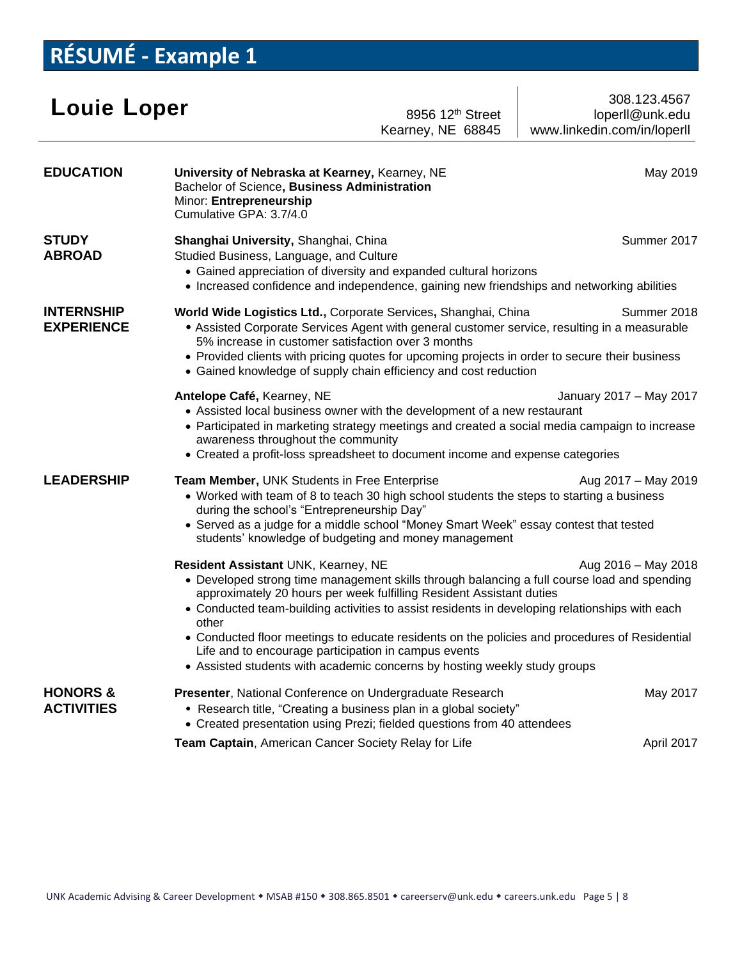## **RÉSUMÉ - Example 1**

| <b>Louie Loper</b>                       | 8956 12 <sup>th</sup> Street<br>Kearney, NE 68845                                                                                                                                                                                                                                                                                                                                                                                                                                                                                                                                  | 308.123.4567<br>loperll@unk.edu<br>www.linkedin.com/in/loperll |  |  |  |
|------------------------------------------|------------------------------------------------------------------------------------------------------------------------------------------------------------------------------------------------------------------------------------------------------------------------------------------------------------------------------------------------------------------------------------------------------------------------------------------------------------------------------------------------------------------------------------------------------------------------------------|----------------------------------------------------------------|--|--|--|
| <b>EDUCATION</b>                         | University of Nebraska at Kearney, Kearney, NE<br>Bachelor of Science, Business Administration<br>Minor: Entrepreneurship<br>Cumulative GPA: 3.7/4.0                                                                                                                                                                                                                                                                                                                                                                                                                               | May 2019                                                       |  |  |  |
| <b>STUDY</b><br><b>ABROAD</b>            | Summer 2017<br>Shanghai University, Shanghai, China<br>Studied Business, Language, and Culture<br>• Gained appreciation of diversity and expanded cultural horizons<br>• Increased confidence and independence, gaining new friendships and networking abilities                                                                                                                                                                                                                                                                                                                   |                                                                |  |  |  |
| <b>INTERNSHIP</b><br><b>EXPERIENCE</b>   | Summer 2018<br>World Wide Logistics Ltd., Corporate Services, Shanghai, China<br>• Assisted Corporate Services Agent with general customer service, resulting in a measurable<br>5% increase in customer satisfaction over 3 months<br>• Provided clients with pricing quotes for upcoming projects in order to secure their business<br>• Gained knowledge of supply chain efficiency and cost reduction                                                                                                                                                                          |                                                                |  |  |  |
|                                          | Antelope Café, Kearney, NE<br>January 2017 - May 2017<br>• Assisted local business owner with the development of a new restaurant<br>• Participated in marketing strategy meetings and created a social media campaign to increase<br>awareness throughout the community<br>• Created a profit-loss spreadsheet to document income and expense categories                                                                                                                                                                                                                          |                                                                |  |  |  |
| <b>LEADERSHIP</b>                        | Team Member, UNK Students in Free Enterprise<br>Aug 2017 - May 2019<br>• Worked with team of 8 to teach 30 high school students the steps to starting a business<br>during the school's "Entrepreneurship Day"<br>• Served as a judge for a middle school "Money Smart Week" essay contest that tested<br>students' knowledge of budgeting and money management                                                                                                                                                                                                                    |                                                                |  |  |  |
|                                          | Resident Assistant UNK, Kearney, NE<br>Aug 2016 - May 2018<br>• Developed strong time management skills through balancing a full course load and spending<br>approximately 20 hours per week fulfilling Resident Assistant duties<br>• Conducted team-building activities to assist residents in developing relationships with each<br>other<br>• Conducted floor meetings to educate residents on the policies and procedures of Residential<br>Life and to encourage participation in campus events<br>• Assisted students with academic concerns by hosting weekly study groups |                                                                |  |  |  |
| <b>HONORS &amp;</b><br><b>ACTIVITIES</b> | Presenter, National Conference on Undergraduate Research<br>• Research title, "Creating a business plan in a global society"<br>• Created presentation using Prezi; fielded questions from 40 attendees                                                                                                                                                                                                                                                                                                                                                                            | May 2017                                                       |  |  |  |
|                                          | Team Captain, American Cancer Society Relay for Life                                                                                                                                                                                                                                                                                                                                                                                                                                                                                                                               | April 2017                                                     |  |  |  |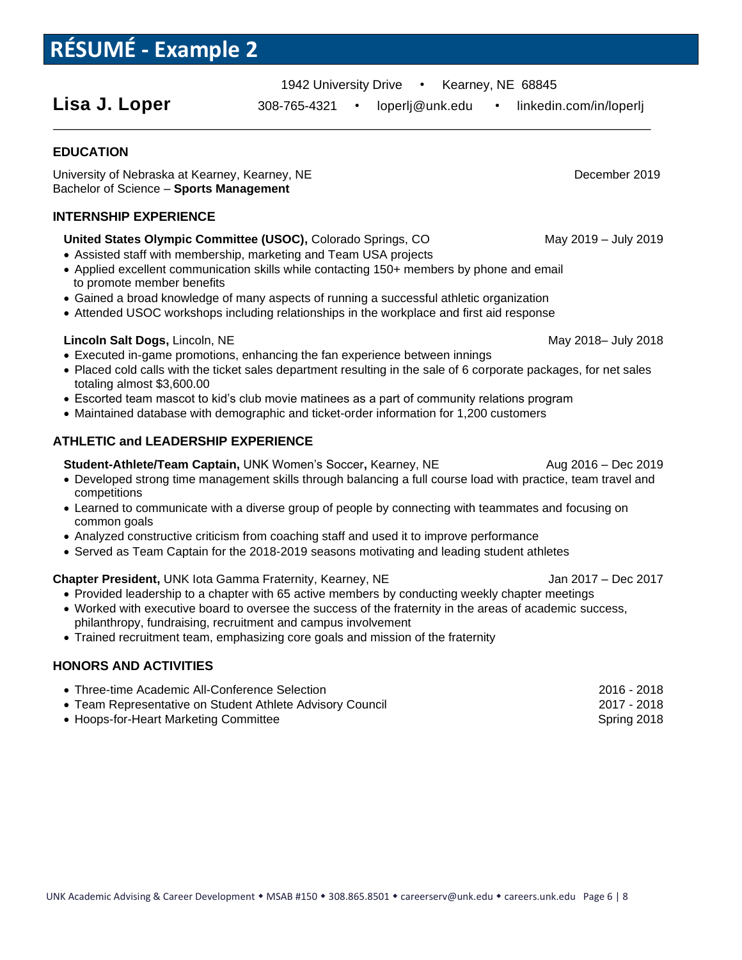## **RÉSUMÉ - Example 2**

1942 University Drive • Kearney, NE 68845

Lisa J. Loper 308-765-4321 • loperlj@unk.edu • linkedin.com/in/loperlj

#### **EDUCATION**

University of Nebraska at Kearney, Kearney, NE Network and December 2019 Bachelor of Science – **Sports Management**

#### **INTERNSHIP EXPERIENCE**

#### **United States Olympic Committee (USOC),** Colorado Springs, COMay 2019 – July 2019

- Assisted staff with membership, marketing and Team USA projects
- Applied excellent communication skills while contacting 150+ members by phone and email to promote member benefits
- Gained a broad knowledge of many aspects of running a successful athletic organization
- Attended USOC workshops including relationships in the workplace and first aid response

#### **Lincoln Salt Dogs, Lincoln, NE** May 2018– July 2018

- Executed in-game promotions, enhancing the fan experience between innings
- Placed cold calls with the ticket sales department resulting in the sale of 6 corporate packages, for net sales totaling almost \$3,600.00
- Escorted team mascot to kid's club movie matinees as a part of community relations program
- Maintained database with demographic and ticket-order information for 1,200 customers

#### **ATHLETIC and LEADERSHIP EXPERIENCE**

**Student-Athlete/Team Captain, UNK Women's Soccer, Kearney, NE Aug 2016 – Dec 2019** 

- Developed strong time management skills through balancing a full course load with practice, team travel and competitions
- Learned to communicate with a diverse group of people by connecting with teammates and focusing on common goals
- Analyzed constructive criticism from coaching staff and used it to improve performance
- Served as Team Captain for the 2018-2019 seasons motivating and leading student athletes

#### **Chapter President, UNK lota Gamma Fraternity, Kearney, NE** Jan 2017 – Dec 2017

- Provided leadership to a chapter with 65 active members by conducting weekly chapter meetings
- Worked with executive board to oversee the success of the fraternity in the areas of academic success, philanthropy, fundraising, recruitment and campus involvement
- Trained recruitment team, emphasizing core goals and mission of the fraternity

#### **HONORS AND ACTIVITIES**

• Three-time Academic All-Conference Selection 2016 - 2018 • Team Representative on Student Athlete Advisory Council 2001 2017 - 2018 • Hoops-for-Heart Marketing Committee Spring 2018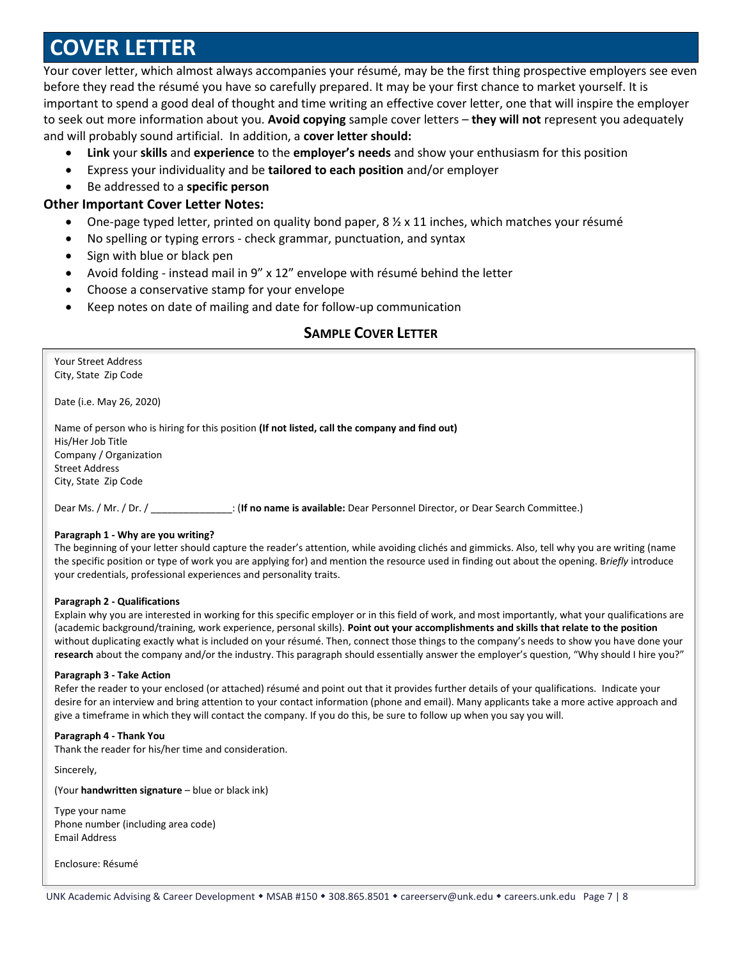## **COVER LETTER**

Your cover letter, which almost always accompanies your résumé, may be the first thing prospective employers see even before they read the résumé you have so carefully prepared. It may be your first chance to market yourself. It is important to spend a good deal of thought and time writing an effective cover letter, one that will inspire the employer to seek out more information about you. **Avoid copying** sample cover letters – **they will not** represent you adequately and will probably sound artificial. In addition, a **cover letter should:**

- **Link** your **skills** and **experience** to the **employer's needs** and show your enthusiasm for this position
- Express your individuality and be **tailored to each position** and/or employer
- Be addressed to a **specific person**

#### **Other Important Cover Letter Notes:**

- One-page typed letter, printed on quality bond paper,  $8\frac{1}{2} \times 11$  inches, which matches your résumé
- No spelling or typing errors check grammar, punctuation, and syntax
- Sign with blue or black pen
- Avoid folding instead mail in 9" x 12" envelope with résumé behind the letter
- Choose a conservative stamp for your envelope
- Keep notes on date of mailing and date for follow-up communication

#### **SAMPLE COVER LETTER**

Your Street Address City, State Zip Code

Date (i.e. May 26, 2020)

Name of person who is hiring for this position **(If not listed, call the company and find out)**  His/Her Job Title Company / Organization Street Address City, State Zip Code

Dear Ms. / Mr. / Dr. / \_\_\_\_\_\_\_\_\_\_\_\_\_\_\_: (**If no name is available:** Dear Personnel Director, or Dear Search Committee.)

#### **Paragraph 1 - Why are you writing?**

The beginning of your letter should capture the reader's attention, while avoiding clichés and gimmicks. Also, tell why you are writing (name the specific position or type of work you are applying for) and mention the resource used in finding out about the opening. B*riefly* introduce your credentials, professional experiences and personality traits.

#### **Paragraph 2 - Qualifications**

Explain why you are interested in working for this specific employer or in this field of work, and most importantly, what your qualifications are (academic background/training, work experience, personal skills). **Point out your accomplishments and skills that relate to the position** without duplicating exactly what is included on your résumé. Then, connect those things to the company's needs to show you have done your **research** about the company and/or the industry. This paragraph should essentially answer the employer's question, "Why should I hire you?"

#### **Paragraph 3 - Take Action**

Refer the reader to your enclosed (or attached) résumé and point out that it provides further details of your qualifications. Indicate your desire for an interview and bring attention to your contact information (phone and email). Many applicants take a more active approach and give a timeframe in which they will contact the company. If you do this, be sure to follow up when you say you will.

#### **Paragraph 4 - Thank You**

Thank the reader for his/her time and consideration.

Sincerely,

(Your **handwritten signature** – blue or black ink)

Type your name Phone number (including area code) Email Address

Enclosure: Résumé